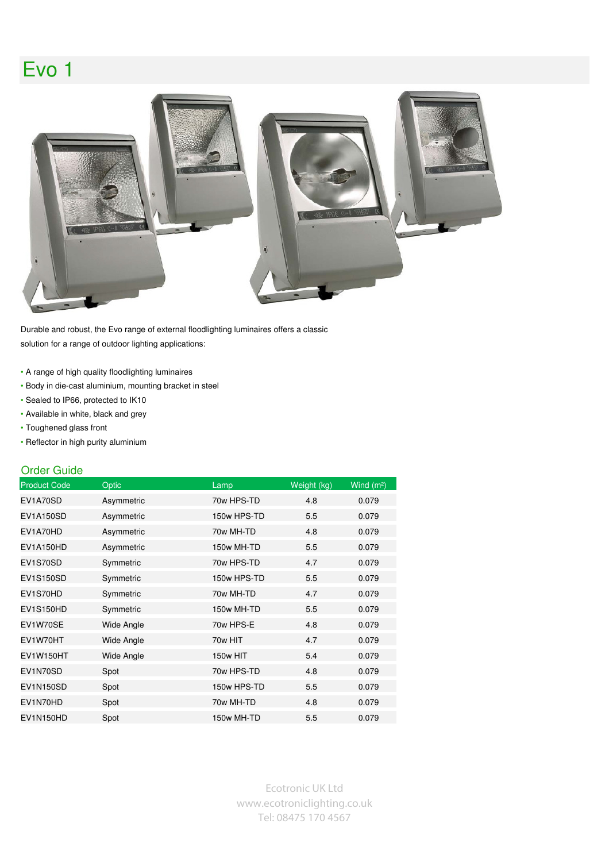## Evo 1



Durable and robust, the Evo range of external floodlighting luminaires offers a classic solution for a range of outdoor lighting applications:

- A range of high quality floodlighting luminaires
- Body in die-cast aluminium, mounting bracket in steel
- Sealed to IP66, protected to IK10
- Available in white, black and grey
- Toughened glass front
- Reflector in high purity aluminium

## Order Guide

| <b>Product Code</b> | <b>Optic</b>      | Lamp        | Weight (kg) | Wind $(m2)$ |
|---------------------|-------------------|-------------|-------------|-------------|
| EV1A70SD            | Asymmetric        | 70w HPS-TD  | 4.8         | 0.079       |
| <b>EV1A150SD</b>    | Asymmetric        | 150w HPS-TD | 5.5         | 0.079       |
| EV1A70HD            | Asymmetric        | 70w MH-TD   | 4.8         | 0.079       |
| EV1A150HD           | Asymmetric        | 150w MH-TD  | 5.5         | 0.079       |
| EV1S70SD            | Symmetric         | 70w HPS-TD  | 4.7         | 0.079       |
| EV1S150SD           | Symmetric         | 150w HPS-TD | 5.5         | 0.079       |
| EV1S70HD            | Symmetric         | 70w MH-TD   | 4.7         | 0.079       |
| <b>EV1S150HD</b>    | Symmetric         | 150w MH-TD  | 5.5         | 0.079       |
| EV1W70SE            | Wide Angle        | 70w HPS-E   | 4.8         | 0.079       |
| EV1W70HT            | <b>Wide Angle</b> | 70w HIT     | 4.7         | 0.079       |
| <b>EV1W150HT</b>    | <b>Wide Angle</b> | 150w HIT    | 5.4         | 0.079       |
| EV1N70SD            | Spot              | 70w HPS-TD  | 4.8         | 0.079       |
| <b>EV1N150SD</b>    | Spot              | 150w HPS-TD | 5.5         | 0.079       |
| EV1N70HD            | Spot              | 70w MH-TD   | 4.8         | 0.079       |
| EV1N150HD           | Spot              | 150w MH-TD  | 5.5         | 0.079       |

Ecotronic UK Ltd www.ecotroniclighting.co.uk Tel: 08475 170 4567